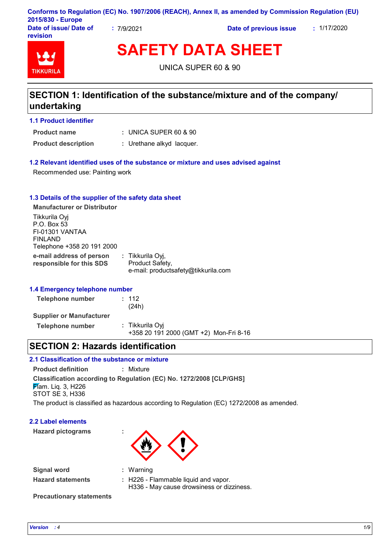|                                    |                    | Conforms to Regulation (EC) No. 1907/2006 (REACH), Annex II, as amended by Commission Regulation (EU) |             |
|------------------------------------|--------------------|-------------------------------------------------------------------------------------------------------|-------------|
| 2015/830 - Europe                  |                    |                                                                                                       |             |
| Date of issue/ Date of<br>revision | $\degree$ 7/9/2021 | Date of previous issue                                                                                | : 1/17/2020 |

# **TIKKURIL**

**SAFETY DATA SHEET**

UNICA SUPER 60 & 90

### **SECTION 1: Identification of the substance/mixture and of the company/ undertaking**

### **1.1 Product identifier**

UNICA SUPER 60 & 90 **: Product name**

- 
- **Product description :** Urethane alkyd lacquer.

### **1.2 Relevant identified uses of the substance or mixture and uses advised against**

Recommended use: Painting work

### **1.3 Details of the supplier of the safety data sheet**

**e-mail address of person responsible for this SDS :** Tikkurila Oyj, Product Safety, e-mail: productsafety@tikkurila.com **Manufacturer or Distributor** Tikkurila Oyj P.O. Box 53 FI-01301 VANTAA FINLAND Telephone +358 20 191 2000

### **1.4 Emergency telephone number**

| Telephone number                | : 112<br>(24h)                                            |
|---------------------------------|-----------------------------------------------------------|
| <b>Supplier or Manufacturer</b> |                                                           |
| Telephone number                | : Tikkurila Ovi<br>+358 20 191 2000 (GMT +2) Mon-Fri 8-16 |

### **SECTION 2: Hazards identification**

### **2.1 Classification of the substance or mixture**

**Product definition :** Mixture

**Classification according to Regulation (EC) No. 1272/2008 [CLP/GHS]**

**F**lam. Lig. 3, H226 STOT SE 3, H336

The product is classified as hazardous according to Regulation (EC) 1272/2008 as amended.

### **2.2 Label elements**

**Hazard pictograms :**



| Signal word                     | $:$ Warning                                                                           |
|---------------------------------|---------------------------------------------------------------------------------------|
| <b>Hazard statements</b>        | $\pm$ H226 - Flammable liquid and vapor.<br>H336 - May cause drowsiness or dizziness. |
| <b>Precautionary statements</b> |                                                                                       |

*Version : 4 1/9*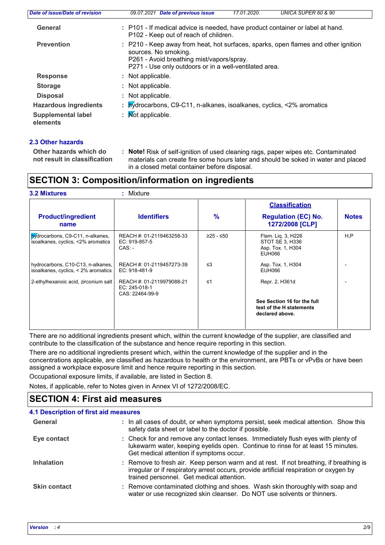| Date of issue/Date of revision        | 09.07.2021 Date of previous issue<br>UNICA SUPER 60 & 90<br>17.01.2020.                                                                                                                                           |
|---------------------------------------|-------------------------------------------------------------------------------------------------------------------------------------------------------------------------------------------------------------------|
| General                               | : P101 - If medical advice is needed, have product container or label at hand.<br>P102 - Keep out of reach of children.                                                                                           |
| <b>Prevention</b>                     | : P210 - Keep away from heat, hot surfaces, sparks, open flames and other ignition<br>sources. No smoking.<br>P261 - Avoid breathing mist/vapors/spray.<br>P271 - Use only outdoors or in a well-ventilated area. |
| <b>Response</b>                       | : Not applicable.                                                                                                                                                                                                 |
| <b>Storage</b>                        | : Not applicable.                                                                                                                                                                                                 |
| <b>Disposal</b>                       | : Not applicable.                                                                                                                                                                                                 |
| <b>Hazardous ingredients</b>          | : bydrocarbons, C9-C11, n-alkanes, isoalkanes, cyclics, <2% aromatics                                                                                                                                             |
| <b>Supplemental label</b><br>elements | $\mathbf{N}$ Mot applicable.                                                                                                                                                                                      |

### **2.3 Other hazards**

**Other hazards which do : not result in classification Note!** Risk of self-ignition of used cleaning rags, paper wipes etc. Contaminated materials can create fire some hours later and should be soked in water and placed in a closed metal container before disposal.

### **SECTION 3: Composition/information on ingredients**

|                                                                          |                                                               |           | <b>Classification</b>                                                      |              |  |
|--------------------------------------------------------------------------|---------------------------------------------------------------|-----------|----------------------------------------------------------------------------|--------------|--|
| <b>Product/ingredient</b><br>name                                        | <b>Identifiers</b>                                            | %         | <b>Regulation (EC) No.</b><br>1272/2008 [CLP]                              | <b>Notes</b> |  |
| bydrocarbons, C9-C11, n-alkanes,<br>isoalkanes, cyclics, <2% aromatics   | REACH #: 01-2119463258-33<br>EC: 919-857-5<br>$CAS: -$        | ≥25 - ≤50 | Flam. Liq. 3, H226<br>STOT SE 3, H336<br>Asp. Tox. 1, H304<br>EUH066       | H,P          |  |
| hydrocarbons, C10-C13, n-alkanes,<br>isoalkanes, cyclics, < 2% aromatics | REACH #: 01-2119457273-39<br>EC: 918-481-9                    | $\leq$ 3  | Asp. Tox. 1, H304<br>EUH066                                                |              |  |
| 2-ethylhexanoic acid, zirconium salt                                     | REACH #: 01-2119979088-21<br>EC: 245-018-1<br>CAS: 22464-99-9 | $\leq 1$  | Repr. 2, H361d                                                             |              |  |
|                                                                          |                                                               |           | See Section 16 for the full<br>text of the H statements<br>declared above. |              |  |

There are no additional ingredients present which, within the current knowledge of the supplier, are classified and contribute to the classification of the substance and hence require reporting in this section.

There are no additional ingredients present which, within the current knowledge of the supplier and in the concentrations applicable, are classified as hazardous to health or the environment, are PBTs or vPvBs or have been assigned a workplace exposure limit and hence require reporting in this section.

Occupational exposure limits, if available, are listed in Section 8.

Notes, if applicable, refer to Notes given in Annex VI of 1272/2008/EC.

### **SECTION 4: First aid measures**

| <b>4.1 Description of first aid measures</b> |                                                                                                                                                                                                                               |
|----------------------------------------------|-------------------------------------------------------------------------------------------------------------------------------------------------------------------------------------------------------------------------------|
| General                                      | : In all cases of doubt, or when symptoms persist, seek medical attention. Show this<br>safety data sheet or label to the doctor if possible.                                                                                 |
| Eye contact                                  | : Check for and remove any contact lenses. Immediately flush eyes with plenty of<br>lukewarm water, keeping eyelids open. Continue to rinse for at least 15 minutes.<br>Get medical attention if symptoms occur.              |
| <b>Inhalation</b>                            | : Remove to fresh air. Keep person warm and at rest. If not breathing, if breathing is<br>irregular or if respiratory arrest occurs, provide artificial respiration or oxygen by<br>trained personnel. Get medical attention. |
| <b>Skin contact</b>                          | : Remove contaminated clothing and shoes. Wash skin thoroughly with soap and<br>water or use recognized skin cleanser. Do NOT use solvents or thinners.                                                                       |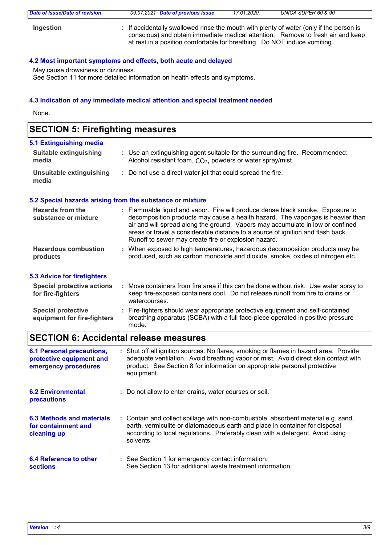| Date of issue/Date of revision | 09.07.2021 Date of previous issue                                                                                                                                                                                                                      | 17.01.2020. | UNICA SUPER 60 & 90 |
|--------------------------------|--------------------------------------------------------------------------------------------------------------------------------------------------------------------------------------------------------------------------------------------------------|-------------|---------------------|
| Ingestion                      | : If accidentally swallowed rinse the mouth with plenty of water (only if the person is<br>conscious) and obtain immediate medical attention. Remove to fresh air and keep<br>at rest in a position comfortable for breathing. Do NOT induce vomiting. |             |                     |

### **4.2 Most important symptoms and effects, both acute and delayed**

May cause drowsiness or dizziness.

See Section 11 for more detailed information on health effects and symptoms.

### **4.3 Indication of any immediate medical attention and special treatment needed**

None.

# **SECTION 5: Firefighting measures**

| 5.1 Extinguishing media                |                                                                                                                                                        |
|----------------------------------------|--------------------------------------------------------------------------------------------------------------------------------------------------------|
| <b>Suitable extinguishing</b><br>media | : Use an extinguishing agent suitable for the surrounding fire. Recommended:<br>Alcohol resistant foam, CO <sub>2</sub> , powders or water spray/mist. |
| Unsuitable extinguishing<br>media      | : Do not use a direct water jet that could spread the fire.                                                                                            |

#### **5.2 Special hazards arising from the substance or mixture**

| <b>Hazards from the</b><br>substance or mixture        | : Flammable liquid and vapor. Fire will produce dense black smoke. Exposure to<br>decomposition products may cause a health hazard. The vapor/gas is heavier than<br>air and will spread along the ground. Vapors may accumulate in low or confined<br>areas or travel a considerable distance to a source of ignition and flash back.<br>Runoff to sewer may create fire or explosion hazard. |
|--------------------------------------------------------|------------------------------------------------------------------------------------------------------------------------------------------------------------------------------------------------------------------------------------------------------------------------------------------------------------------------------------------------------------------------------------------------|
| <b>Hazardous combustion</b><br>products                | : When exposed to high temperatures, hazardous decomposition products may be<br>produced, such as carbon monoxide and dioxide, smoke, oxides of nitrogen etc.                                                                                                                                                                                                                                  |
| <b>5.3 Advice for firefighters</b>                     |                                                                                                                                                                                                                                                                                                                                                                                                |
| <b>Special protective actions</b><br>for fire-fighters | : Move containers from fire area if this can be done without risk. Use water spray to<br>keep fire-exposed containers cool. Do not release runoff from fire to drains or<br>watercourses.                                                                                                                                                                                                      |
| <b>Special protective</b>                              | : Fire-fighters should wear appropriate protective equipment and self-contained                                                                                                                                                                                                                                                                                                                |

```
breathing apparatus (SCBA) with a full face-piece operated in positive pressure 
                             mode.
equipment for fire-fighters
```
### **SECTION 6: Accidental release measures**

| <b>6.1 Personal precautions,</b><br>protective equipment and<br>emergency procedures | : Shut off all ignition sources. No flares, smoking or flames in hazard area. Provide<br>adequate ventilation. Avoid breathing vapor or mist. Avoid direct skin contact with<br>product. See Section 8 for information on appropriate personal protective<br>equipment. |
|--------------------------------------------------------------------------------------|-------------------------------------------------------------------------------------------------------------------------------------------------------------------------------------------------------------------------------------------------------------------------|
| <b>6.2 Environmental</b><br>precautions                                              | : Do not allow to enter drains, water courses or soil.                                                                                                                                                                                                                  |
| 6.3 Methods and materials<br>for containment and<br>cleaning up                      | : Contain and collect spillage with non-combustible, absorbent material e.g. sand,<br>earth, vermiculite or diatomaceous earth and place in container for disposal<br>according to local regulations. Preferably clean with a detergent. Avoid using<br>solvents.       |
| 6.4 Reference to other<br><b>sections</b>                                            | : See Section 1 for emergency contact information.<br>See Section 13 for additional waste treatment information.                                                                                                                                                        |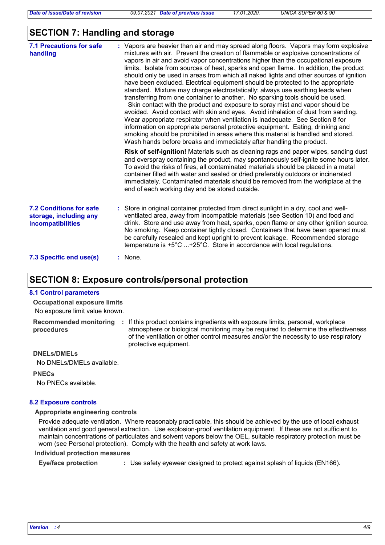### **SECTION 7: Handling and storage**

| <b>7.1 Precautions for safe</b><br>handling                                   | : Vapors are heavier than air and may spread along floors. Vapors may form explosive<br>mixtures with air. Prevent the creation of flammable or explosive concentrations of<br>vapors in air and avoid vapor concentrations higher than the occupational exposure<br>limits. Isolate from sources of heat, sparks and open flame. In addition, the product<br>should only be used in areas from which all naked lights and other sources of ignition<br>have been excluded. Electrical equipment should be protected to the appropriate<br>standard. Mixture may charge electrostatically: always use earthing leads when<br>transferring from one container to another. No sparking tools should be used.<br>Skin contact with the product and exposure to spray mist and vapor should be<br>avoided. Avoid contact with skin and eyes. Avoid inhalation of dust from sanding.<br>Wear appropriate respirator when ventilation is inadequate. See Section 8 for<br>information on appropriate personal protective equipment. Eating, drinking and<br>smoking should be prohibited in areas where this material is handled and stored.<br>Wash hands before breaks and immediately after handling the product. |
|-------------------------------------------------------------------------------|----------------------------------------------------------------------------------------------------------------------------------------------------------------------------------------------------------------------------------------------------------------------------------------------------------------------------------------------------------------------------------------------------------------------------------------------------------------------------------------------------------------------------------------------------------------------------------------------------------------------------------------------------------------------------------------------------------------------------------------------------------------------------------------------------------------------------------------------------------------------------------------------------------------------------------------------------------------------------------------------------------------------------------------------------------------------------------------------------------------------------------------------------------------------------------------------------------------|
|                                                                               | Risk of self-ignition! Materials such as cleaning rags and paper wipes, sanding dust<br>and overspray containing the product, may spontaneously self-ignite some hours later.<br>To avoid the risks of fires, all contaminated materials should be placed in a metal<br>container filled with water and sealed or dried preferably outdoors or incinerated<br>immediately. Contaminated materials should be removed from the workplace at the<br>end of each working day and be stored outside.                                                                                                                                                                                                                                                                                                                                                                                                                                                                                                                                                                                                                                                                                                                |
| <b>7.2 Conditions for safe</b><br>storage, including any<br>incompatibilities | : Store in original container protected from direct sunlight in a dry, cool and well-<br>ventilated area, away from incompatible materials (see Section 10) and food and<br>drink. Store and use away from heat, sparks, open flame or any other ignition source.<br>No smoking. Keep container tightly closed. Containers that have been opened must<br>be carefully resealed and kept upright to prevent leakage. Recommended storage<br>temperature is $+5^{\circ}$ C $+25^{\circ}$ C. Store in accordance with local regulations.                                                                                                                                                                                                                                                                                                                                                                                                                                                                                                                                                                                                                                                                          |
| 7.3 Specific end use(s)                                                       | $:$ None.                                                                                                                                                                                                                                                                                                                                                                                                                                                                                                                                                                                                                                                                                                                                                                                                                                                                                                                                                                                                                                                                                                                                                                                                      |

### **SECTION 8: Exposure controls/personal protection**

#### **8.1 Control parameters**

No exposure limit value known. **Occupational exposure limits**

**Recommended monitoring procedures**

: If this product contains ingredients with exposure limits, personal, workplace atmosphere or biological monitoring may be required to determine the effectiveness of the ventilation or other control measures and/or the necessity to use respiratory protective equipment.

#### **DNELs/DMELs**

No DNELs/DMELs available.

**PNECs**

No PNECs available.

#### **8.2 Exposure controls**

#### **Appropriate engineering controls**

Provide adequate ventilation. Where reasonably practicable, this should be achieved by the use of local exhaust ventilation and good general extraction. Use explosion-proof ventilation equipment. If these are not sufficient to maintain concentrations of particulates and solvent vapors below the OEL, suitable respiratory protection must be worn (see Personal protection). Comply with the health and safety at work laws.

#### **Individual protection measures**

**Eye/face protection :** Use safety eyewear designed to protect against splash of liquids (EN166).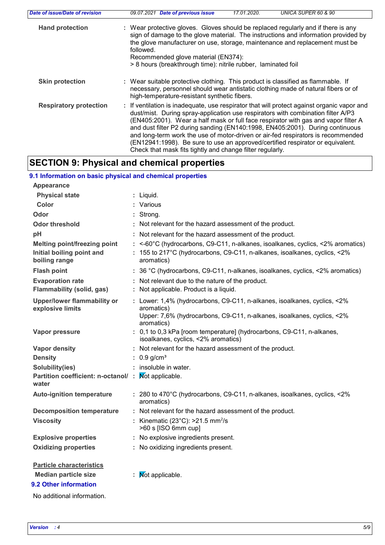| Date of issue/Date of revision | UNICA SUPER 60 & 90<br>09.07.2021<br><b>Date of previous issue</b><br>17.01.2020.                                                                                                                                                                                                                                                                                                                                                                                                                                                                                                        |
|--------------------------------|------------------------------------------------------------------------------------------------------------------------------------------------------------------------------------------------------------------------------------------------------------------------------------------------------------------------------------------------------------------------------------------------------------------------------------------------------------------------------------------------------------------------------------------------------------------------------------------|
| <b>Hand protection</b>         | : Wear protective gloves. Gloves should be replaced regularly and if there is any<br>sign of damage to the glove material. The instructions and information provided by<br>the glove manufacturer on use, storage, maintenance and replacement must be<br>followed.<br>Recommended glove material (EN374):<br>> 8 hours (breakthrough time): nitrile rubber, laminated foil                                                                                                                                                                                                              |
| <b>Skin protection</b>         | : Wear suitable protective clothing. This product is classified as flammable. If<br>necessary, personnel should wear antistatic clothing made of natural fibers or of<br>high-temperature-resistant synthetic fibers.                                                                                                                                                                                                                                                                                                                                                                    |
| <b>Respiratory protection</b>  | : If ventilation is inadequate, use respirator that will protect against organic vapor and<br>dust/mist. During spray-application use respirators with combination filter A/P3<br>(EN405:2001). Wear a half mask or full face respirator with gas and vapor filter A<br>and dust filter P2 during sanding (EN140:1998, EN405:2001). During continuous<br>and long-term work the use of motor-driven or air-fed respirators is recommended<br>(EN12941:1998). Be sure to use an approved/certified respirator or equivalent.<br>Check that mask fits tightly and change filter regularly. |

### **SECTION 9: Physical and chemical properties**

### **9.1 Information on basic physical and chemical properties**

| <b>Appearance</b>                                                                 |                                                                                                                                                                                |
|-----------------------------------------------------------------------------------|--------------------------------------------------------------------------------------------------------------------------------------------------------------------------------|
| <b>Physical state</b>                                                             | : Liquid.                                                                                                                                                                      |
| Color                                                                             | : Various                                                                                                                                                                      |
| Odor                                                                              | : Strong.                                                                                                                                                                      |
| <b>Odor threshold</b>                                                             | : Not relevant for the hazard assessment of the product.                                                                                                                       |
| pH                                                                                | : Not relevant for the hazard assessment of the product.                                                                                                                       |
| <b>Melting point/freezing point</b><br>Initial boiling point and<br>boiling range | : <-60°C (hydrocarbons, C9-C11, n-alkanes, isoalkanes, cyclics, <2% aromatics)<br>: 155 to 217°C (hydrocarbons, C9-C11, n-alkanes, isoalkanes, cyclics, <2%<br>aromatics)      |
| <b>Flash point</b>                                                                | : 36 °C (hydrocarbons, C9-C11, n-alkanes, isoalkanes, cyclics, <2% aromatics)                                                                                                  |
| <b>Evaporation rate</b><br>Flammability (solid, gas)                              | : Not relevant due to the nature of the product.<br>: Not applicable. Product is a liquid.                                                                                     |
| Upper/lower flammability or<br>explosive limits                                   | : Lower: 1,4% (hydrocarbons, C9-C11, n-alkanes, isoalkanes, cyclics, <2%<br>aromatics)<br>Upper: 7,6% (hydrocarbons, C9-C11, n-alkanes, isoalkanes, cyclics, <2%<br>aromatics) |
| Vapor pressure                                                                    | : 0,1 to 0,3 kPa [room temperature] (hydrocarbons, C9-C11, n-alkanes,<br>isoalkanes, cyclics, <2% aromatics)                                                                   |
| Vapor density                                                                     | : Not relevant for the hazard assessment of the product.                                                                                                                       |
| <b>Density</b>                                                                    | : $0.9$ g/cm <sup>3</sup>                                                                                                                                                      |
| Solubility(ies)                                                                   | : insoluble in water.                                                                                                                                                          |
| Partition coefficient: n-octanol/: Mot applicable.<br>water                       |                                                                                                                                                                                |
| <b>Auto-ignition temperature</b>                                                  | : 280 to 470°C (hydrocarbons, C9-C11, n-alkanes, isoalkanes, cyclics, <2%<br>aromatics)                                                                                        |
| <b>Decomposition temperature</b>                                                  | : Not relevant for the hazard assessment of the product.                                                                                                                       |
| <b>Viscosity</b>                                                                  | : Kinematic (23 $^{\circ}$ C): >21.5 mm <sup>2</sup> /s<br>>60 s [ISO 6mm cup]                                                                                                 |
| <b>Explosive properties</b>                                                       | : No explosive ingredients present.                                                                                                                                            |
| <b>Oxidizing properties</b>                                                       | : No oxidizing ingredients present.                                                                                                                                            |
| <b>Particle characteristics</b>                                                   |                                                                                                                                                                                |
| <b>Median particle size</b>                                                       | Not applicable.                                                                                                                                                                |

### **9.2 Other information**

No additional information.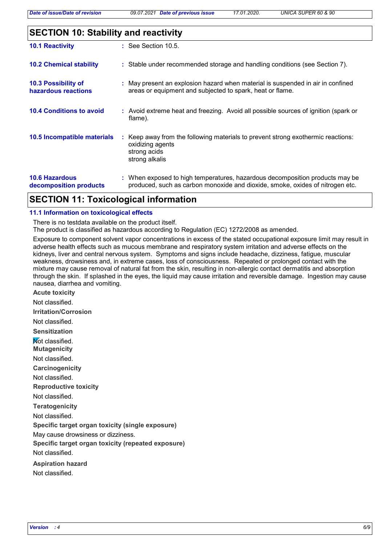## **SECTION 10: Stability and reactivity**

| <b>10.1 Reactivity</b>                          | $\therefore$ See Section 10.5.                                                                                                                                |
|-------------------------------------------------|---------------------------------------------------------------------------------------------------------------------------------------------------------------|
| <b>10.2 Chemical stability</b>                  | : Stable under recommended storage and handling conditions (see Section 7).                                                                                   |
| 10.3 Possibility of<br>hazardous reactions      | : May present an explosion hazard when material is suspended in air in confined<br>areas or equipment and subjected to spark, heat or flame.                  |
| <b>10.4 Conditions to avoid</b>                 | : Avoid extreme heat and freezing. Avoid all possible sources of ignition (spark or<br>flame).                                                                |
| 10.5 Incompatible materials                     | : Keep away from the following materials to prevent strong exothermic reactions:<br>oxidizing agents<br>strong acids<br>strong alkalis                        |
| <b>10.6 Hazardous</b><br>decomposition products | : When exposed to high temperatures, hazardous decomposition products may be<br>produced, such as carbon monoxide and dioxide, smoke, oxides of nitrogen etc. |

### **SECTION 11: Toxicological information**

#### **11.1 Information on toxicological effects**

There is no testdata available on the product itself.

The product is classified as hazardous according to Regulation (EC) 1272/2008 as amended.

Exposure to component solvent vapor concentrations in excess of the stated occupational exposure limit may result in adverse health effects such as mucous membrane and respiratory system irritation and adverse effects on the kidneys, liver and central nervous system. Symptoms and signs include headache, dizziness, fatigue, muscular weakness, drowsiness and, in extreme cases, loss of consciousness. Repeated or prolonged contact with the mixture may cause removal of natural fat from the skin, resulting in non-allergic contact dermatitis and absorption through the skin. If splashed in the eyes, the liquid may cause irritation and reversible damage. Ingestion may cause nausea, diarrhea and vomiting.

**Acute toxicity Carcinogenicity Mutagenicity Teratogenicity Reproductive toxicity Irritation/Corrosion Sensitization Specific target organ toxicity (single exposure) Specific target organ toxicity (repeated exposure) Aspiration hazard** Not classified. Not classified. Not classified. Not classified. Not classified. Not classified. **Not classified.** May cause drowsiness or dizziness. Not classified. Not classified.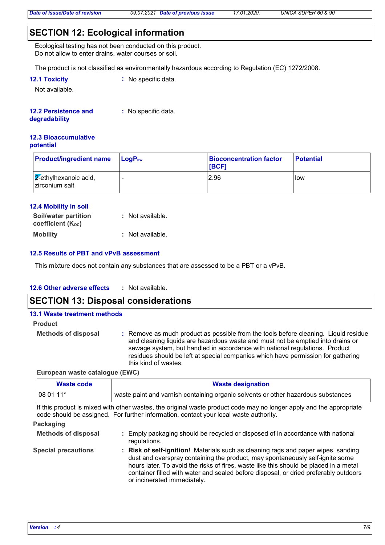### **SECTION 12: Ecological information**

Ecological testing has not been conducted on this product. Do not allow to enter drains, water courses or soil.

The product is not classified as environmentally hazardous according to Regulation (EC) 1272/2008.

| <b>12.1 Toxicity</b> | $\therefore$ No specific data. |
|----------------------|--------------------------------|
|----------------------|--------------------------------|

Not available.

#### **12.2 Persistence and :** No specific data.

#### **degradability**

#### **12.3 Bioaccumulative potential**

| <b>Product/ingredient name</b>                    | $\mathsf{LocP}_\mathsf{ow}$ | <b>Bioconcentration factor</b><br><b>IBCF1</b> | <b>Potential</b> |
|---------------------------------------------------|-----------------------------|------------------------------------------------|------------------|
| $\sqrt{2}$ -ethylhexanoic acid,<br>zirconium salt |                             | 2.96                                           | low              |

### **12.4 Mobility in soil**

| <b>Soil/water partition</b><br>coefficient (Koc) | : Not available. |
|--------------------------------------------------|------------------|
| <b>Mobility</b>                                  | : Not available. |

### **12.5 Results of PBT and vPvB assessment**

This mixture does not contain any substances that are assessed to be a PBT or a vPvB.

#### **12.6 Other adverse effects :**

### **SECTION 13: Disposal considerations**

### **13.1 Waste treatment methods Product**

**Methods of disposal :**

Remove as much product as possible from the tools before cleaning. Liquid residue and cleaning liquids are hazardous waste and must not be emptied into drains or sewage system, but handled in accordance with national regulations. Product residues should be left at special companies which have permission for gathering this kind of wastes.

### **European waste catalogue (EWC)**

| Waste code | <b>Waste designation</b>                                                          |  |  |
|------------|-----------------------------------------------------------------------------------|--|--|
| $1080111*$ | waste paint and varnish containing organic solvents or other hazardous substances |  |  |

If this product is mixed with other wastes, the original waste product code may no longer apply and the appropriate code should be assigned. For further information, contact your local waste authority.

### **Packaging**

| <b>Methods of disposal</b> | Empty packaging should be recycled or disposed of in accordance with national<br>regulations.                                                                                                                                                                                                                                                                                      |
|----------------------------|------------------------------------------------------------------------------------------------------------------------------------------------------------------------------------------------------------------------------------------------------------------------------------------------------------------------------------------------------------------------------------|
| <b>Special precautions</b> | : Risk of self-ignition! Materials such as cleaning rags and paper wipes, sanding<br>dust and overspray containing the product, may spontaneously self-ignite some<br>hours later. To avoid the risks of fires, waste like this should be placed in a metal<br>container filled with water and sealed before disposal, or dried preferably outdoors<br>or incinerated immediately. |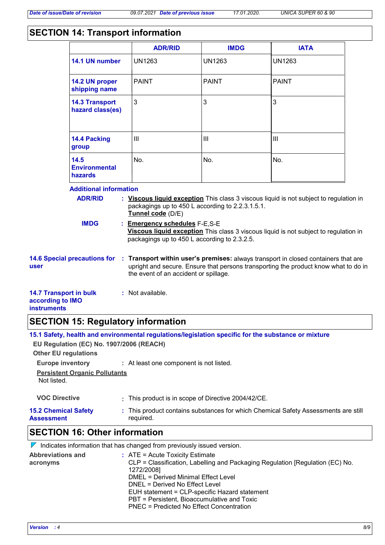### **SECTION 14: Transport information**

|                                                                                                                                                                                                                                                                                                                                                                                                            |                                                | <b>ADR/RID</b>                        | <b>IMDG</b>   | <b>IATA</b>                                                                                                                                                               |  |
|------------------------------------------------------------------------------------------------------------------------------------------------------------------------------------------------------------------------------------------------------------------------------------------------------------------------------------------------------------------------------------------------------------|------------------------------------------------|---------------------------------------|---------------|---------------------------------------------------------------------------------------------------------------------------------------------------------------------------|--|
|                                                                                                                                                                                                                                                                                                                                                                                                            | 14.1 UN number                                 | <b>UN1263</b>                         | <b>UN1263</b> | <b>UN1263</b>                                                                                                                                                             |  |
|                                                                                                                                                                                                                                                                                                                                                                                                            | 14.2 UN proper<br>shipping name                | <b>PAINT</b>                          | <b>PAINT</b>  | <b>PAINT</b>                                                                                                                                                              |  |
|                                                                                                                                                                                                                                                                                                                                                                                                            | <b>14.3 Transport</b><br>hazard class(es)      | 3                                     | 3             | 3                                                                                                                                                                         |  |
|                                                                                                                                                                                                                                                                                                                                                                                                            | 14.4 Packing<br>group                          | $\mathbf{III}$                        | III           | III                                                                                                                                                                       |  |
|                                                                                                                                                                                                                                                                                                                                                                                                            | 14.5<br><b>Environmental</b><br><b>hazards</b> | No.                                   | No.           | No.                                                                                                                                                                       |  |
| <b>Additional information</b><br><b>ADR/RID</b><br>: Viscous liquid exception This class 3 viscous liquid is not subject to regulation in<br>packagings up to 450 L according to 2.2.3.1.5.1.<br>Tunnel code (D/E)<br><b>IMDG</b><br>: Emergency schedules F-E,S-E<br>Viscous liquid exception This class 3 viscous liquid is not subject to regulation in<br>packagings up to 450 L according to 2.3.2.5. |                                                |                                       |               |                                                                                                                                                                           |  |
| user                                                                                                                                                                                                                                                                                                                                                                                                       | <b>14.6 Special precautions for</b>            | the event of an accident or spillage. |               | : Transport within user's premises: always transport in closed containers that are<br>upright and secure. Ensure that persons transporting the product know what to do in |  |
| <b>14.7 Transport in bulk</b><br>according to IMO<br><b>instruments</b>                                                                                                                                                                                                                                                                                                                                    |                                                | : Not available.                      |               |                                                                                                                                                                           |  |

### **SECTION 15: Regulatory information**

|                                                                         | <b>CECTION 46. Other information</b>                                                                |  |  |  |  |
|-------------------------------------------------------------------------|-----------------------------------------------------------------------------------------------------|--|--|--|--|
| <b>15.2 Chemical Safety</b><br><b>Assessment</b>                        | : This product contains substances for which Chemical Safety Assessments are still<br>required.     |  |  |  |  |
| <b>VOC Directive</b>                                                    | : This product is in scope of Directive 2004/42/CE.                                                 |  |  |  |  |
| <b>Persistent Organic Pollutants</b><br>Not listed.                     |                                                                                                     |  |  |  |  |
| <b>Europe inventory</b><br>: At least one component is not listed.      |                                                                                                     |  |  |  |  |
| EU Regulation (EC) No. 1907/2006 (REACH)<br><b>Other EU regulations</b> |                                                                                                     |  |  |  |  |
|                                                                         | 15.1 Safety, health and environmental regulations/legislation specific for the substance or mixture |  |  |  |  |

### **SECTION 16: Other information**

|                                      | $\mathbb V$ Indicates information that has changed from previously issued version.                                                                                                                                                                                                                                                                             |
|--------------------------------------|----------------------------------------------------------------------------------------------------------------------------------------------------------------------------------------------------------------------------------------------------------------------------------------------------------------------------------------------------------------|
| <b>Abbreviations and</b><br>acronyms | $\therefore$ ATE = Acute Toxicity Estimate<br>CLP = Classification, Labelling and Packaging Regulation [Regulation (EC) No.<br>1272/2008]<br>DMEL = Derived Minimal Effect Level<br>DNEL = Derived No Effect Level<br>EUH statement = CLP-specific Hazard statement<br>PBT = Persistent, Bioaccumulative and Toxic<br>PNEC = Predicted No Effect Concentration |